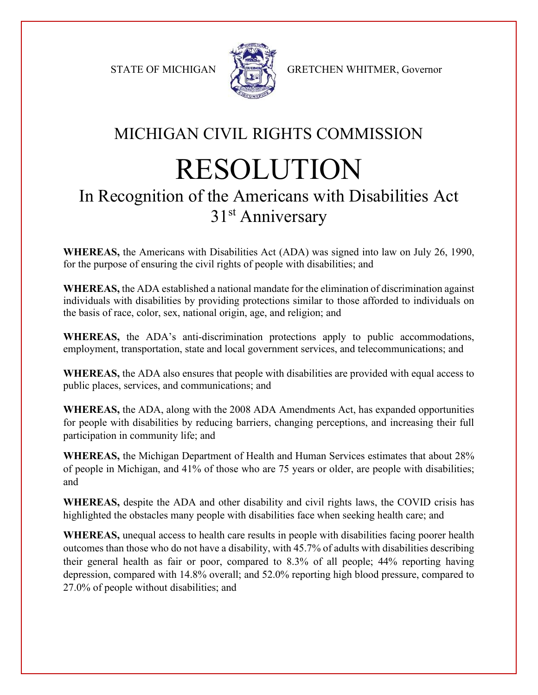

STATE OF MICHIGAN A GRETCHEN WHITMER, Governor

## MICHIGAN CIVIL RIGHTS COMMISSION RESOLUTION

## In Recognition of the Americans with Disabilities Act 31<sup>st</sup> Anniversary

**WHEREAS,** the Americans with Disabilities Act (ADA) was signed into law on July 26, 1990, for the purpose of ensuring the civil rights of people with disabilities; and

**WHEREAS,** the ADA established a national mandate for the elimination of discrimination against individuals with disabilities by providing protections similar to those afforded to individuals on the basis of race, color, sex, national origin, age, and religion; and

**WHEREAS,** the ADA's anti-discrimination protections apply to public accommodations, employment, transportation, state and local government services, and telecommunications; and

**WHEREAS,** the ADA also ensures that people with disabilities are provided with equal access to public places, services, and communications; and

**WHEREAS,** the ADA, along with the 2008 ADA Amendments Act, has expanded opportunities for people with disabilities by reducing barriers, changing perceptions, and increasing their full participation in community life; and

**WHEREAS,** the Michigan Department of Health and Human Services estimates that about 28% of people in Michigan, and 41% of those who are 75 years or older, are people with disabilities; and

**WHEREAS,** despite the ADA and other disability and civil rights laws, the COVID crisis has highlighted the obstacles many people with disabilities face when seeking health care; and

**WHEREAS,** unequal access to health care results in people with disabilities facing poorer health outcomes than those who do not have a disability, with 45.7% of adults with disabilities describing their general health as fair or poor, compared to 8.3% of all people; 44% reporting having depression, compared with 14.8% overall; and 52.0% reporting high blood pressure, compared to 27.0% of people without disabilities; and